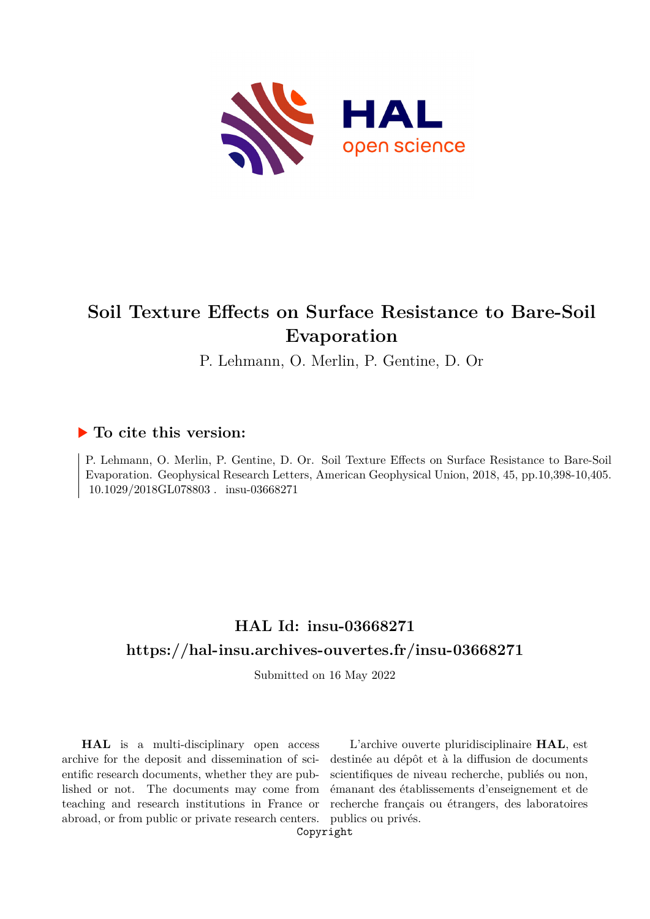

# **Soil Texture Effects on Surface Resistance to Bare-Soil Evaporation**

P. Lehmann, O. Merlin, P. Gentine, D. Or

## **To cite this version:**

P. Lehmann, O. Merlin, P. Gentine, D. Or. Soil Texture Effects on Surface Resistance to Bare-Soil Evaporation. Geophysical Research Letters, American Geophysical Union, 2018, 45, pp.10,398-10,405. 10.1029/2018GL078803. insu-03668271

## **HAL Id: insu-03668271 <https://hal-insu.archives-ouvertes.fr/insu-03668271>**

Submitted on 16 May 2022

**HAL** is a multi-disciplinary open access archive for the deposit and dissemination of scientific research documents, whether they are published or not. The documents may come from teaching and research institutions in France or abroad, or from public or private research centers.

L'archive ouverte pluridisciplinaire **HAL**, est destinée au dépôt et à la diffusion de documents scientifiques de niveau recherche, publiés ou non, émanant des établissements d'enseignement et de recherche français ou étrangers, des laboratoires publics ou privés.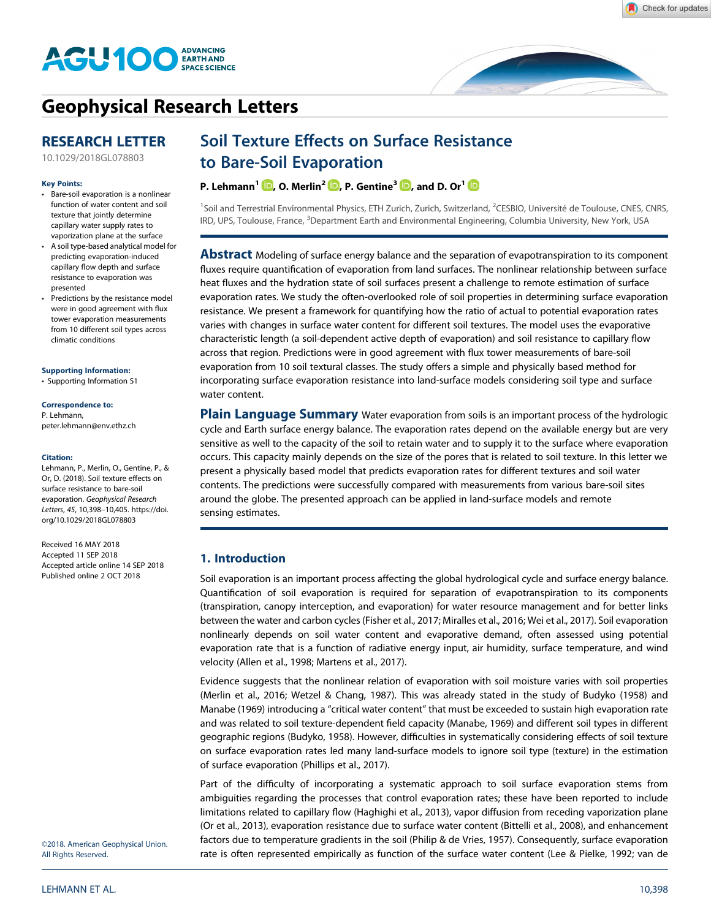

# **[Geophysical Research Letters](http://onlinelibrary.wiley.com/journal/10.1002/(ISSN)1944-8007)**

## **RESEARCH LETTER**

[10.1029/2018GL078803](http://dx.doi.org/10.1029/2018GL078803)

#### **Key Points:**

- Bare-soil evaporation is a nonlinear function of water content and soil texture that jointly determine capillary water supply rates to vaporization plane at the surface
- A soil type-based analytical model for predicting evaporation-induced capillary flow depth and surface resistance to evaporation was presented
- Predictions by the resistance model were in good agreement with flux tower evaporation measurements from 10 different soil types across climatic conditions

#### **[Supporting Information:](http://dx.doi.org/10.1029/2018GL078803)**

[•](http://dx.doi.org/10.1029/2018GL078803) [Supporting Information S1](http://dx.doi.org/10.1029/2018GL078803)

**Correspondence to:** P. Lehmann, [peter.lehmann@env.ethz.ch](mailto:peter.lehmann@env.ethz.ch)

#### **Citation:**

Lehmann, P., Merlin, O., Gentine, P., & Or, D. (2018). Soil texture effects on surface resistance to bare-soil evaporation. *Geophysical Research Letters*, *45*, 10,398–10,405. [https://doi.](https://doi.org/10.1029/2018GL078803) [org/10.1029/2018GL078803](https://doi.org/10.1029/2018GL078803)

Received 16 MAY 2018 Accepted 11 SEP 2018 Accepted article online 14 SEP 2018 Published online 2 OCT 2018

### ©2018. American Geophysical Union. All Rights Reserved.

## Soil Texture Effects on Surface Resistance to Bare-Soil Evaporation

**P. Lehmann<sup>1</sup>**  $\mathbf{D}$ **, O. Merlin<sup>2</sup>**  $\mathbf{D}$ **, P. Gentine<sup>3</sup>**  $\mathbf{D}$ **, and D. Or<sup>1</sup>**  $\mathbf{D}$ 

<sup>1</sup>Soil and Terrestrial Environmental Physics, ETH Zurich, Zurich, Switzerland, <sup>2</sup>CESBIO, Université de Toulouse, CNES, CNRS, IRD, UPS, Toulouse, France, <sup>3</sup>Department Earth and Environmental Engineering, Columbia University, New York, USA

**Abstract** Modeling of surface energy balance and the separation of evapotranspiration to its component fluxes require quantification of evaporation from land surfaces. The nonlinear relationship between surface heat fluxes and the hydration state of soil surfaces present a challenge to remote estimation of surface evaporation rates. We study the often-overlooked role of soil properties in determining surface evaporation resistance. We present a framework for quantifying how the ratio of actual to potential evaporation rates varies with changes in surface water content for different soil textures. The model uses the evaporative characteristic length (a soil-dependent active depth of evaporation) and soil resistance to capillary flow across that region. Predictions were in good agreement with flux tower measurements of bare-soil evaporation from 10 soil textural classes. The study offers a simple and physically based method for incorporating surface evaporation resistance into land-surface models considering soil type and surface water content.

**Plain Language Summary** Water evaporation from soils is an important process of the hydrologic cycle and Earth surface energy balance. The evaporation rates depend on the available energy but are very sensitive as well to the capacity of the soil to retain water and to supply it to the surface where evaporation occurs. This capacity mainly depends on the size of the pores that is related to soil texture. In this letter we present a physically based model that predicts evaporation rates for different textures and soil water contents. The predictions were successfully compared with measurements from various bare-soil sites around the globe. The presented approach can be applied in land-surface models and remote sensing estimates.

### **1. Introduction**

Soil evaporation is an important process affecting the global hydrological cycle and surface energy balance. Quantification of soil evaporation is required for separation of evapotranspiration to its components (transpiration, canopy interception, and evaporation) for water resource management and for better links between the water and carbon cycles (Fisher et al., 2017; Miralles et al., 2016; Wei et al., 2017). Soil evaporation nonlinearly depends on soil water content and evaporative demand, often assessed using potential evaporation rate that is a function of radiative energy input, air humidity, surface temperature, and wind velocity (Allen et al., 1998; Martens et al., 2017).

Evidence suggests that the nonlinear relation of evaporation with soil moisture varies with soil properties (Merlin et al., 2016; Wetzel & Chang, 1987). This was already stated in the study of Budyko (1958) and Manabe (1969) introducing a "critical water content" that must be exceeded to sustain high evaporation rate and was related to soil texture-dependent field capacity (Manabe, 1969) and different soil types in different geographic regions (Budyko, 1958). However, difficulties in systematically considering effects of soil texture on surface evaporation rates led many land-surface models to ignore soil type (texture) in the estimation of surface evaporation (Phillips et al., 2017).

Part of the difficulty of incorporating a systematic approach to soil surface evaporation stems from ambiguities regarding the processes that control evaporation rates; these have been reported to include limitations related to capillary flow (Haghighi et al., 2013), vapor diffusion from receding vaporization plane (Or et al., 2013), evaporation resistance due to surface water content (Bittelli et al., 2008), and enhancement factors due to temperature gradients in the soil (Philip & de Vries, 1957). Consequently, surface evaporation rate is often represented empirically as function of the surface water content (Lee & Pielke, 1992; van de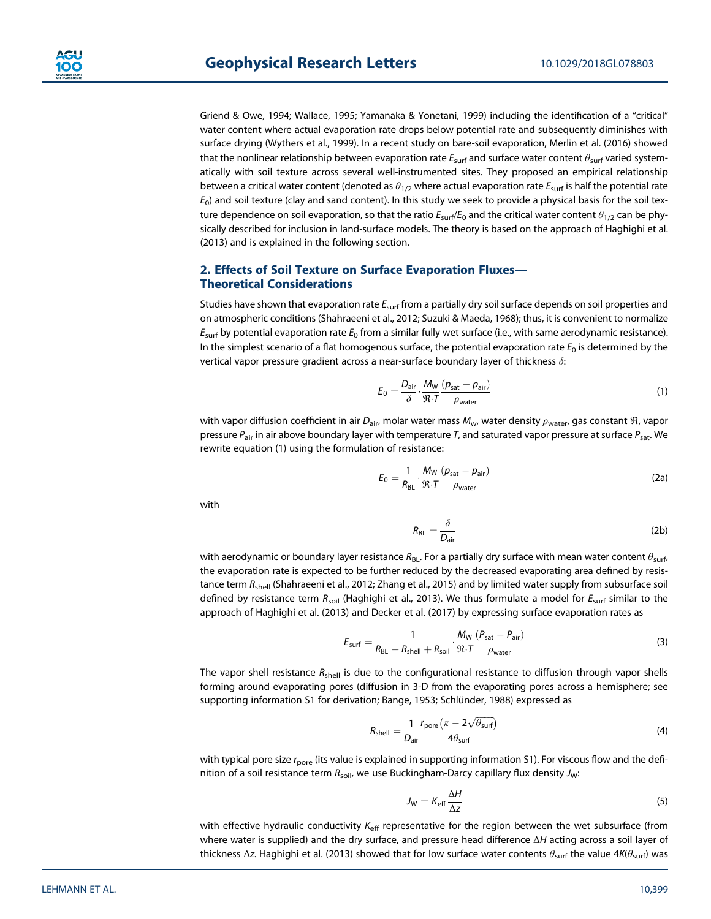Griend & Owe, 1994; Wallace, 1995; Yamanaka & Yonetani, 1999) including the identification of a "critical" water content where actual evaporation rate drops below potential rate and subsequently diminishes with surface drying (Wythers et al., 1999). In a recent study on bare-soil evaporation, Merlin et al. (2016) showed that the nonlinear relationship between evaporation rate *E*surf and surface water content *θ*surf varied systematically with soil texture across several well-instrumented sites. They proposed an empirical relationship between a critical water content (denoted as *θ*1/2 where actual evaporation rate *E*surf is half the potential rate *E*0) and soil texture (clay and sand content). In this study we seek to provide a physical basis for the soil texture dependence on soil evaporation, so that the ratio *E*surf/*E*<sup>0</sup> and the critical water content *θ*1/2 can be physically described for inclusion in land-surface models. The theory is based on the approach of Haghighi et al. (2013) and is explained in the following section.

### **2. Effects of Soil Texture on Surface Evaporation Fluxes— Theoretical Considerations**

Studies have shown that evaporation rate *E*surf from a partially dry soil surface depends on soil properties and on atmospheric conditions (Shahraeeni et al., 2012; Suzuki & Maeda, 1968); thus, it is convenient to normalize *E*surf by potential evaporation rate *E*<sup>0</sup> from a similar fully wet surface (i.e., with same aerodynamic resistance). In the simplest scenario of a flat homogenous surface, the potential evaporation rate  $E_0$  is determined by the vertical vapor pressure gradient across a near-surface boundary layer of thickness *δ*:

$$
E_0 = \frac{D_{\text{air}}}{\delta} \cdot \frac{M_{\text{W}}}{\mathfrak{R} \cdot \mathcal{T}} \frac{(p_{\text{sat}} - p_{\text{air}})}{\rho_{\text{water}}}
$$
(1)

with vapor diffusion coefficient in air D<sub>air</sub>, molar water mass M<sub>w</sub>, water density  $ρ_{water}$  gas constant *N*<sup>2</sup>, vapor pressure *P*air in air above boundary layer with temperature *T*, and saturated vapor pressure at surface *P*sat. We rewrite equation (1) using the formulation of resistance:

$$
E_0 = \frac{1}{R_{\text{BL}}} \cdot \frac{M_{\text{W}}}{\mathfrak{R} \cdot T} \frac{(p_{\text{sat}} - p_{\text{air}})}{\rho_{\text{water}}}
$$
(2a)

with

$$
R_{\rm BL} = \frac{\delta}{D_{\rm air}}\tag{2b}
$$

with aerodynamic or boundary layer resistance R<sub>BL</sub>. For a partially dry surface with mean water content θ<sub>surf</sub>, the evaporation rate is expected to be further reduced by the decreased evaporating area defined by resistance term *R<sub>shell</sub>* (Shahraeeni et al., 2012; Zhang et al., 2015) and by limited water supply from subsurface soil defined by resistance term *R*soil (Haghighi et al., 2013). We thus formulate a model for *E*surf similar to the approach of Haghighi et al. (2013) and Decker et al. (2017) by expressing surface evaporation rates as

$$
E_{\text{surf}} = \frac{1}{R_{\text{BL}} + R_{\text{shell}} + R_{\text{soil}}} \cdot \frac{M_{\text{W}}}{\Re \cdot T} \frac{(P_{\text{sat}} - P_{\text{air}})}{\rho_{\text{water}}}
$$
(3)

The vapor shell resistance R<sub>shell</sub> is due to the configurational resistance to diffusion through vapor shells forming around evaporating pores (diffusion in 3-D from the evaporating pores across a hemisphere; see supporting information S1 for derivation; Bange, 1953; Schlünder, 1988) expressed as

$$
R_{\text{shell}} = \frac{1}{D_{\text{air}}} \frac{r_{\text{pore}} (\pi - 2\sqrt{\theta_{\text{surf}}})}{4\theta_{\text{surf}}}
$$
(4)

with typical pore size *r*pore (its value is explained in supporting information S1). For viscous flow and the definition of a soil resistance term  $R_{\text{sol}}$ , we use Buckingham-Darcy capillary flux density  $J_{\text{W}}$ :

$$
J_{\rm W} = K_{\rm eff} \frac{\Delta H}{\Delta z} \tag{5}
$$

with effective hydraulic conductivity *K*<sub>eff</sub> representative for the region between the wet subsurface (from where water is supplied) and the dry surface, and pressure head difference Δ*H* acting across a soil layer of thickness Δ*z*. Haghighi et al. (2013) showed that for low surface water contents *θ*surf the value 4*K*(*θ*surf) was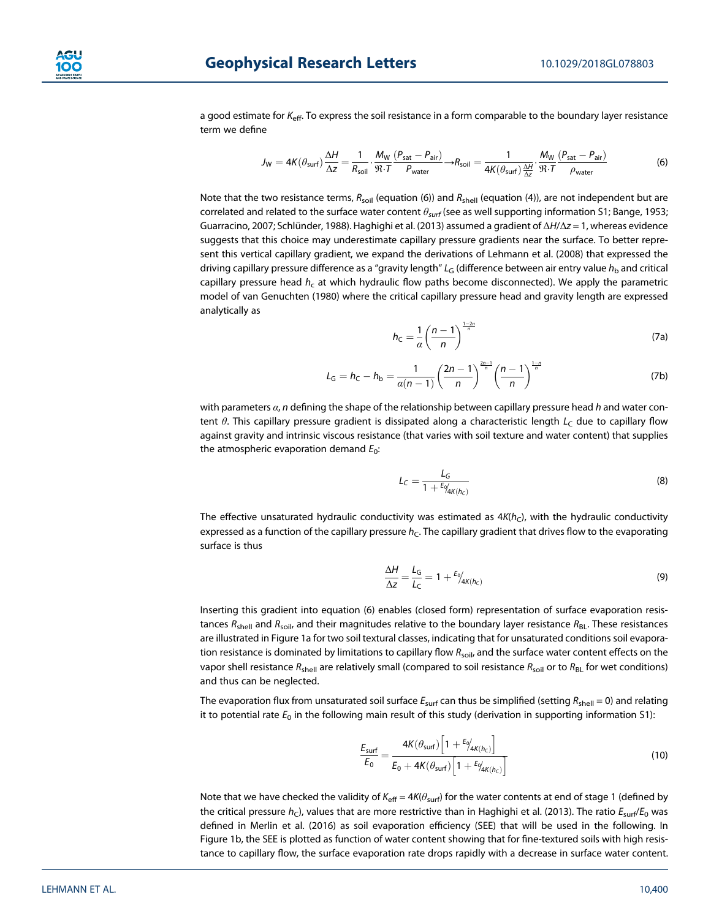

a good estimate for *K*eff. To express the soil resistance in a form comparable to the boundary layer resistance term we define

$$
J_{\rm W} = 4K(\theta_{\rm surf})\frac{\Delta H}{\Delta z} = \frac{1}{R_{\rm soil}} \cdot \frac{M_{\rm W}}{\mathfrak{R} \cdot T} \frac{(P_{\rm sat} - P_{\rm air})}{P_{\rm water}} \rightarrow R_{\rm soil} = \frac{1}{4K(\theta_{\rm surf})\frac{\Delta H}{\Delta z}} \cdot \frac{M_{\rm W}}{\mathfrak{R} \cdot T} \frac{(P_{\rm sat} - P_{\rm air})}{\rho_{\rm water}} \tag{6}
$$

Note that the two resistance terms,  $R_{\text{soil}}$  (equation (6)) and  $R_{\text{shell}}$  (equation (4)), are not independent but are correlated and related to the surface water content *θsurf* (see as well supporting information S1; Bange, 1953; Guarracino, 2007; Schlünder, 1988). Haghighi et al. (2013) assumed a gradient of Δ*H*/Δ*z* = 1, whereas evidence suggests that this choice may underestimate capillary pressure gradients near the surface. To better represent this vertical capillary gradient, we expand the derivations of Lehmann et al. (2008) that expressed the driving capillary pressure difference as a "gravity length" *L*<sub>G</sub> (difference between air entry value  $h_b$  and critical capillary pressure head *h<sub>c</sub>* at which hydraulic flow paths become disconnected). We apply the parametric model of van Genuchten (1980) where the critical capillary pressure head and gravity length are expressed analytically as

$$
h_{\rm C} = \frac{1}{\alpha} \left( \frac{n-1}{n} \right)^{\frac{1-2n}{n}} \tag{7a}
$$

$$
L_{\rm G} = h_{\rm C} - h_{\rm b} = \frac{1}{\alpha(n-1)} \left(\frac{2n-1}{n}\right)^{\frac{2n-1}{n}} \left(\frac{n-1}{n}\right)^{\frac{1-n}{n}}
$$
(7b)

with parameters *α*, *n* defining the shape of the relationship between capillary pressure head *h* and water content θ. This capillary pressure gradient is dissipated along a characteristic length L<sub>C</sub> due to capillary flow against gravity and intrinsic viscous resistance (that varies with soil texture and water content) that supplies the atmospheric evaporation demand  $E_0$ :

$$
L_C = \frac{L_G}{1 + \frac{E\phi_{4K(h_C)}}{2}}\tag{8}
$$

The effective unsaturated hydraulic conductivity was estimated as  $4K(h<sub>C</sub>)$ , with the hydraulic conductivity expressed as a function of the capillary pressure *h<sub>C</sub>*. The capillary gradient that drives flow to the evaporating surface is thus

$$
\frac{\Delta H}{\Delta z} = \frac{L_G}{L_C} = 1 + \frac{E_0}{4K(h_C)}\tag{9}
$$

Inserting this gradient into equation (6) enables (closed form) representation of surface evaporation resistances  $R_{shell}$  and  $R_{sol}$ , and their magnitudes relative to the boundary layer resistance  $R_{BL}$ . These resistances are illustrated in Figure 1a for two soil textural classes, indicating that for unsaturated conditions soil evaporation resistance is dominated by limitations to capillary flow R<sub>soil</sub>, and the surface water content effects on the vapor shell resistance R<sub>shell</sub> are relatively small (compared to soil resistance R<sub>soil</sub> or to R<sub>BL</sub> for wet conditions) and thus can be neglected.

The evaporation flux from unsaturated soil surface  $E_{\text{surf}}$  can thus be simplified (setting  $R_{\text{shell}} = 0$ ) and relating it to potential rate  $E_0$  in the following main result of this study (derivation in supporting information S1):

$$
\frac{E_{\text{surf}}}{E_0} = \frac{4K(\theta_{\text{surf}}) \left[1 + \frac{E_0}{4K(h_c)}\right]}{E_0 + 4K(\theta_{\text{surf}}) \left[1 + \frac{E_0}{4K(h_c)}\right]}
$$
(10)

Note that we have checked the validity of *K*eff = 4*K*(*θ*surf) for the water contents at end of stage 1 (defined by the critical pressure *h<sub>C</sub>*), values that are more restrictive than in Haghighi et al. (2013). The ratio  $E_{\text{surf}}/E_0$  was defined in Merlin et al. (2016) as soil evaporation efficiency (SEE) that will be used in the following. In Figure 1b, the SEE is plotted as function of water content showing that for fine-textured soils with high resistance to capillary flow, the surface evaporation rate drops rapidly with a decrease in surface water content.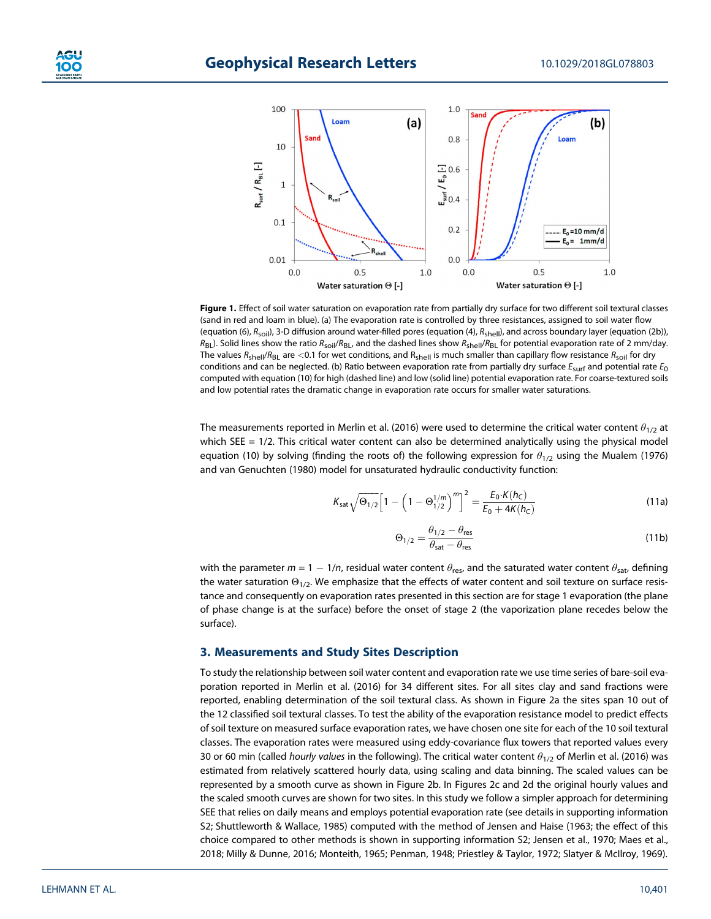

**Figure 1.** Effect of soil water saturation on evaporation rate from partially dry surface for two different soil textural classes (sand in red and loam in blue). (a) The evaporation rate is controlled by three resistances, assigned to soil water flow (equation (6),  $R_{sol}$ ), 3-D diffusion around water-filled pores (equation (4),  $R_{shell}$ ), and across boundary layer (equation (2b)), *R*BL). Solid lines show the ratio *R*soil/*R*BL, and the dashed lines show *R*shell/*R*BL for potential evaporation rate of 2 mm/day. The values  $R_{shell}/R_{BL}$  are <0.1 for wet conditions, and  $R_{shell}$  is much smaller than capillary flow resistance  $R_{solid}$  for dry conditions and can be neglected. (b) Ratio between evaporation rate from partially dry surface *E*surf and potential rate *E*0 computed with equation (10) for high (dashed line) and low (solid line) potential evaporation rate. For coarse-textured soils and low potential rates the dramatic change in evaporation rate occurs for smaller water saturations.

The measurements reported in Merlin et al. (2016) were used to determine the critical water content *θ*1/2 at which SEE = 1/2. This critical water content can also be determined analytically using the physical model equation (10) by solving (finding the roots of) the following expression for  $\theta_{1/2}$  using the Mualem (1976) and van Genuchten (1980) model for unsaturated hydraulic conductivity function:

$$
K_{\text{sat}}\sqrt{\Theta_{1/2}}\Big[1-\Big(1-\Theta_{1/2}^{1/m}\Big)^m\Big]^2 = \frac{E_0 \cdot K(h_C)}{E_0 + 4K(h_C)}
$$
(11a)

$$
\Theta_{1/2} = \frac{\theta_{1/2} - \theta_{\text{res}}}{\theta_{\text{sat}} - \theta_{\text{res}}}
$$
 (11b)

with the parameter  $m = 1 - 1/n$ , residual water content  $\theta_{\text{res}}$ , and the saturated water content  $\theta_{\text{sat}}$ , defining the water saturation  $\Theta_{1/2}$ . We emphasize that the effects of water content and soil texture on surface resistance and consequently on evaporation rates presented in this section are for stage 1 evaporation (the plane of phase change is at the surface) before the onset of stage 2 (the vaporization plane recedes below the surface).

### **3. Measurements and Study Sites Description**

To study the relationship between soil water content and evaporation rate we use time series of bare-soil evaporation reported in Merlin et al. (2016) for 34 different sites. For all sites clay and sand fractions were reported, enabling determination of the soil textural class. As shown in Figure 2a the sites span 10 out of the 12 classified soil textural classes. To test the ability of the evaporation resistance model to predict effects of soil texture on measured surface evaporation rates, we have chosen one site for each of the 10 soil textural classes. The evaporation rates were measured using eddy-covariance flux towers that reported values every 30 or 60 min (called *hourly values* in the following). The critical water content *θ*1/2 of Merlin et al. (2016) was estimated from relatively scattered hourly data, using scaling and data binning. The scaled values can be represented by a smooth curve as shown in Figure 2b. In Figures 2c and 2d the original hourly values and the scaled smooth curves are shown for two sites. In this study we follow a simpler approach for determining SEE that relies on daily means and employs potential evaporation rate (see details in supporting information S2; Shuttleworth & Wallace, 1985) computed with the method of Jensen and Haise (1963; the effect of this choice compared to other methods is shown in supporting information S2; Jensen et al., 1970; Maes et al., 2018; Milly & Dunne, 2016; Monteith, 1965; Penman, 1948; Priestley & Taylor, 1972; Slatyer & McIlroy, 1969).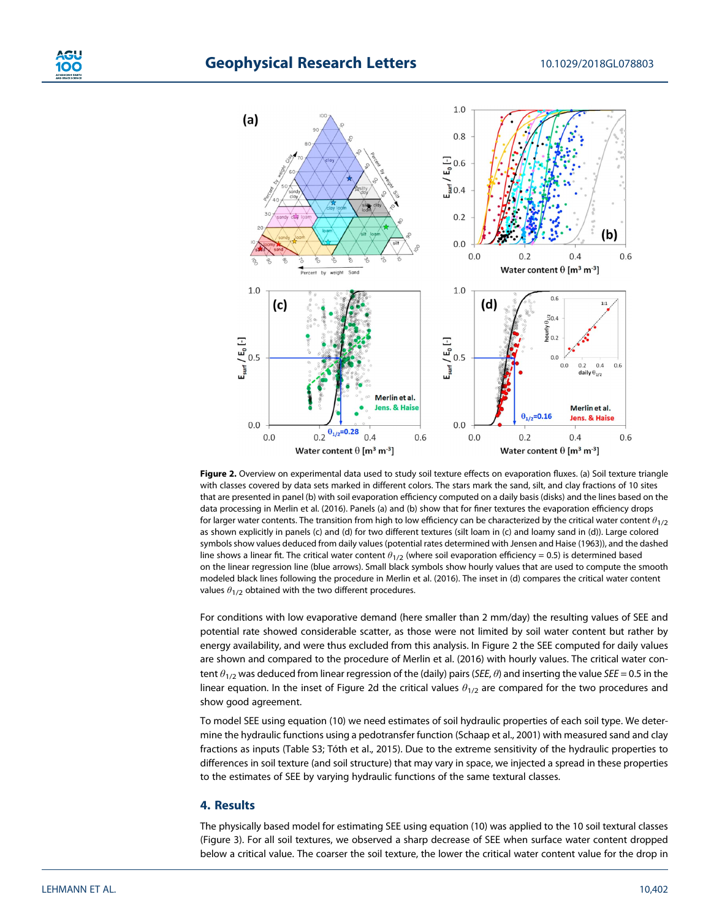



**Figure 2.** Overview on experimental data used to study soil texture effects on evaporation fluxes. (a) Soil texture triangle with classes covered by data sets marked in different colors. The stars mark the sand, silt, and clay fractions of 10 sites that are presented in panel (b) with soil evaporation efficiency computed on a daily basis (disks) and the lines based on the data processing in Merlin et al. (2016). Panels (a) and (b) show that for finer textures the evaporation efficiency drops for larger water contents. The transition from high to low efficiency can be characterized by the critical water content *θ*1/2 as shown explicitly in panels (c) and (d) for two different textures (silt loam in (c) and loamy sand in (d)). Large colored symbols show values deduced from daily values (potential rates determined with Jensen and Haise (1963)), and the dashed line shows a linear fit. The critical water content *θ*1/2 (where soil evaporation efficiency = 0.5) is determined based on the linear regression line (blue arrows). Small black symbols show hourly values that are used to compute the smooth modeled black lines following the procedure in Merlin et al. (2016). The inset in (d) compares the critical water content values  $\theta_{1/2}$  obtained with the two different procedures.

For conditions with low evaporative demand (here smaller than 2 mm/day) the resulting values of SEE and potential rate showed considerable scatter, as those were not limited by soil water content but rather by energy availability, and were thus excluded from this analysis. In Figure 2 the SEE computed for daily values are shown and compared to the procedure of Merlin et al. (2016) with hourly values. The critical water content *θ*1/2 was deduced from linear regression of the (daily) pairs (*SEE*, *θ*) and inserting the value *SEE* = 0.5 in the linear equation. In the inset of Figure 2d the critical values *θ*1/2 are compared for the two procedures and show good agreement.

To model SEE using equation (10) we need estimates of soil hydraulic properties of each soil type. We determine the hydraulic functions using a pedotransfer function (Schaap et al., 2001) with measured sand and clay fractions as inputs (Table S3; Tóth et al., 2015). Due to the extreme sensitivity of the hydraulic properties to differences in soil texture (and soil structure) that may vary in space, we injected a spread in these properties to the estimates of SEE by varying hydraulic functions of the same textural classes.

### **4. Results**

The physically based model for estimating SEE using equation (10) was applied to the 10 soil textural classes (Figure 3). For all soil textures, we observed a sharp decrease of SEE when surface water content dropped below a critical value. The coarser the soil texture, the lower the critical water content value for the drop in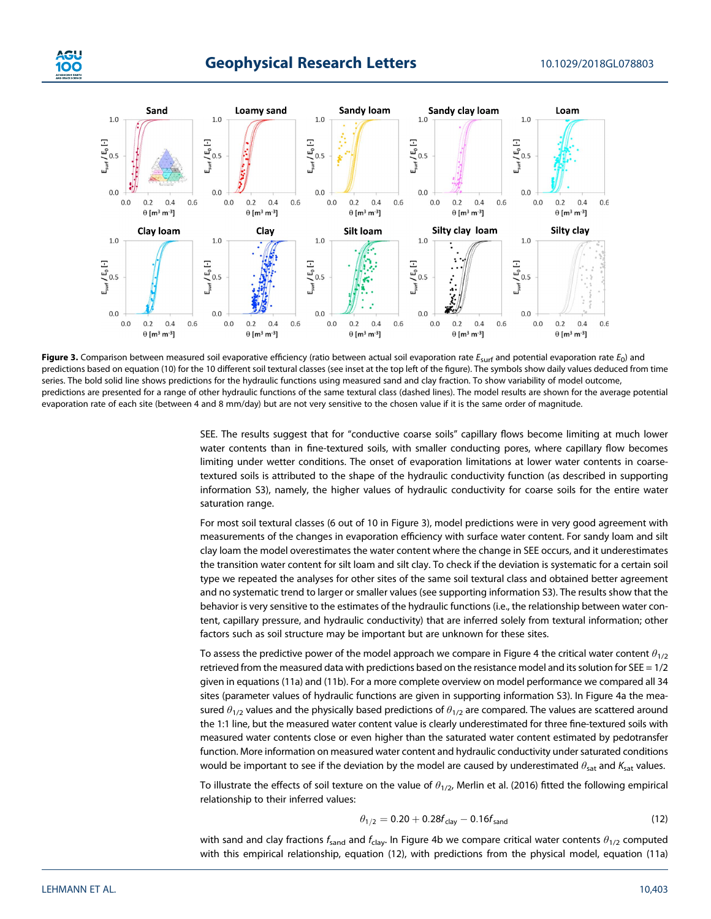



Figure 3. Comparison between measured soil evaporative efficiency (ratio between actual soil evaporation rate  $E_{\text{surf}}$  and potential evaporation rate  $E_0$ ) and predictions based on equation (10) for the 10 different soil textural classes (see inset at the top left of the figure). The symbols show daily values deduced from time series. The bold solid line shows predictions for the hydraulic functions using measured sand and clay fraction. To show variability of model outcome, predictions are presented for a range of other hydraulic functions of the same textural class (dashed lines). The model results are shown for the average potential evaporation rate of each site (between 4 and 8 mm/day) but are not very sensitive to the chosen value if it is the same order of magnitude.

SEE. The results suggest that for "conductive coarse soils" capillary flows become limiting at much lower water contents than in fine-textured soils, with smaller conducting pores, where capillary flow becomes limiting under wetter conditions. The onset of evaporation limitations at lower water contents in coarsetextured soils is attributed to the shape of the hydraulic conductivity function (as described in supporting information S3), namely, the higher values of hydraulic conductivity for coarse soils for the entire water saturation range.

For most soil textural classes (6 out of 10 in Figure 3), model predictions were in very good agreement with measurements of the changes in evaporation efficiency with surface water content. For sandy loam and silt clay loam the model overestimates the water content where the change in SEE occurs, and it underestimates the transition water content for silt loam and silt clay. To check if the deviation is systematic for a certain soil type we repeated the analyses for other sites of the same soil textural class and obtained better agreement and no systematic trend to larger or smaller values (see supporting information S3). The results show that the behavior is very sensitive to the estimates of the hydraulic functions (i.e., the relationship between water content, capillary pressure, and hydraulic conductivity) that are inferred solely from textural information; other factors such as soil structure may be important but are unknown for these sites.

To assess the predictive power of the model approach we compare in Figure 4 the critical water content *θ*1/2 retrieved from the measured data with predictions based on the resistance model and its solution for SEE =  $1/2$ given in equations (11a) and (11b). For a more complete overview on model performance we compared all 34 sites (parameter values of hydraulic functions are given in supporting information S3). In Figure 4a the measured  $\theta_{1/2}$  values and the physically based predictions of  $\theta_{1/2}$  are compared. The values are scattered around the 1:1 line, but the measured water content value is clearly underestimated for three fine-textured soils with measured water contents close or even higher than the saturated water content estimated by pedotransfer function. More information on measured water content and hydraulic conductivity under saturated conditions would be important to see if the deviation by the model are caused by underestimated  $θ_{sat}$  and  $K_{sat}$  values.

To illustrate the effects of soil texture on the value of *θ*1/2, Merlin et al. (2016) fitted the following empirical relationship to their inferred values:

$$
\theta_{1/2} = 0.20 + 0.28f_{\text{clay}} - 0.16f_{\text{sand}} \tag{12}
$$

with sand and clay fractions *f*<sub>sand</sub> and *f*<sub>clay</sub>. In Figure 4b we compare critical water contents  $θ_{1/2}$  computed with this empirical relationship, equation (12), with predictions from the physical model, equation (11a)

10C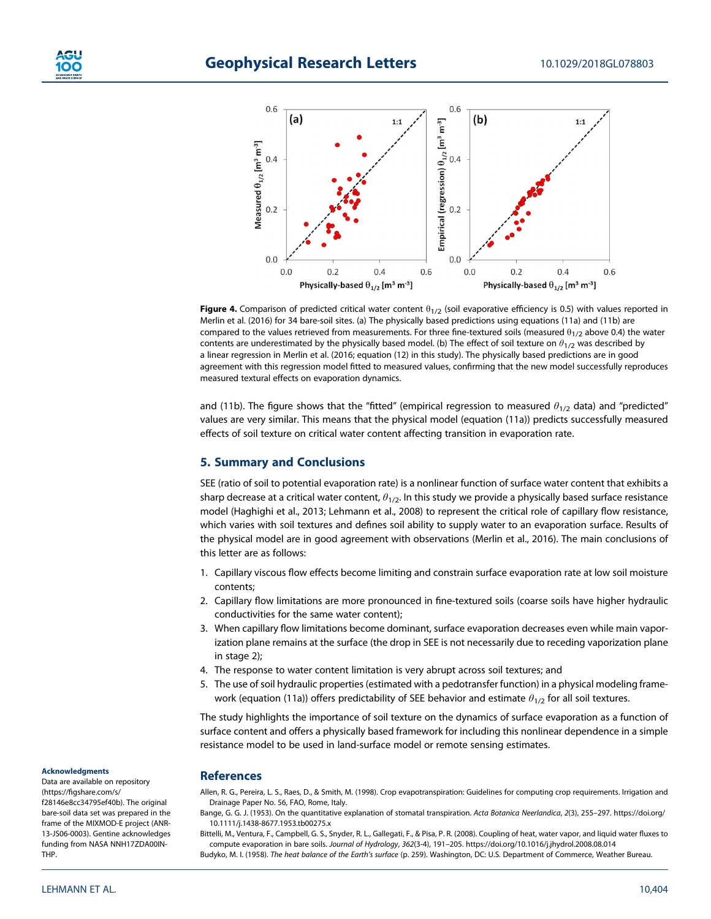

**Figure 4.** Comparison of predicted critical water content  $\theta_{1/2}$  (soil evaporative efficiency is 0.5) with values reported in Merlin et al. (2016) for 34 bare-soil sites. (a) The physically based predictions using equations (11a) and (11b) are compared to the values retrieved from measurements. For three fine-textured soils (measured  $\theta_{1/2}$  above 0.4) the water contents are underestimated by the physically based model. (b) The effect of soil texture on *θ*1/2 was described by a linear regression in Merlin et al. (2016; equation (12) in this study). The physically based predictions are in good agreement with this regression model fitted to measured values, confirming that the new model successfully reproduces measured textural effects on evaporation dynamics.

and (11b). The figure shows that the "fitted" (empirical regression to measured  $\theta_{1/2}$  data) and "predicted" values are very similar. This means that the physical model (equation (11a)) predicts successfully measured effects of soil texture on critical water content affecting transition in evaporation rate.

### **5. Summary and Conclusions**

SEE (ratio of soil to potential evaporation rate) is a nonlinear function of surface water content that exhibits a sharp decrease at a critical water content, *θ*1/2. In this study we provide a physically based surface resistance model (Haghighi et al., 2013; Lehmann et al., 2008) to represent the critical role of capillary flow resistance, which varies with soil textures and defines soil ability to supply water to an evaporation surface. Results of the physical model are in good agreement with observations (Merlin et al., 2016). The main conclusions of this letter are as follows:

- 1. Capillary viscous flow effects become limiting and constrain surface evaporation rate at low soil moisture contents;
- 2. Capillary flow limitations are more pronounced in fine-textured soils (coarse soils have higher hydraulic conductivities for the same water content);
- 3. When capillary flow limitations become dominant, surface evaporation decreases even while main vaporization plane remains at the surface (the drop in SEE is not necessarily due to receding vaporization plane in stage 2);
- 4. The response to water content limitation is very abrupt across soil textures; and
- 5. The use of soil hydraulic properties (estimated with a pedotransfer function) in a physical modeling framework (equation (11a)) offers predictability of SEE behavior and estimate  $θ<sub>1/2</sub>$  for all soil textures.

The study highlights the importance of soil texture on the dynamics of surface evaporation as a function of surface content and offers a physically based framework for including this nonlinear dependence in a simple resistance model to be used in land-surface model or remote sensing estimates.

#### **References**

Allen, R. G., Pereira, L. S., Raes, D., & Smith, M. (1998). Crop evapotranspiration: Guidelines for computing crop requirements. Irrigation and Drainage Paper No. 56, FAO, Rome, Italy.

Bittelli, M., Ventura, F., Campbell, G. S., Snyder, R. L., Gallegati, F., & Pisa, P. R. (2008). Coupling of heat, water vapor, and liquid water fluxes to compute evaporation in bare soils. *Journal of Hydrology*, *362*(3-4), 191–205.<https://doi.org/10.1016/j.jhydrol.2008.08.014> Budyko, M. I. (1958). *The heat balance of the Earth's surface* (p. 259). Washington, DC: U.S. Department of Commerce, Weather Bureau.

### **Acknowledgments**

Data are available on repository (https://fi[gshare.com/s/](https://figshare.com/s/f28146e8cc34795ef40b) [f28146e8cc34795ef40b\)](https://figshare.com/s/f28146e8cc34795ef40b). The original bare-soil data set was prepared in the frame of the MIXMOD-E project (ANR-13-JS06-0003). Gentine acknowledges funding from NASA NNH17ZDA00IN-THP.

Bange, G. G. J. (1953). On the quantitative explanation of stomatal transpiration. *Acta Botanica Neerlandica*, *2*(3), 255–297. [https://doi.org/](https://doi.org/10.1111/j.1438-8677.1953.tb00275.x) [10.1111/j.1438-8677.1953.tb00275.x](https://doi.org/10.1111/j.1438-8677.1953.tb00275.x)